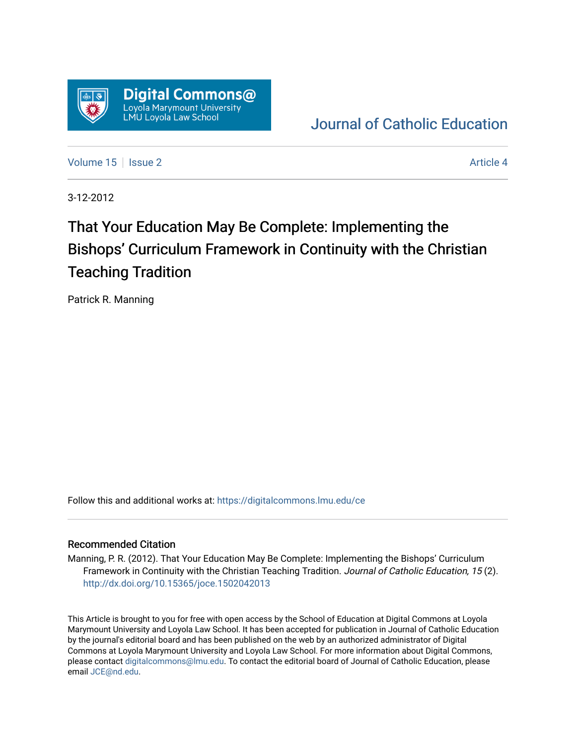

[Journal of Catholic Education](https://digitalcommons.lmu.edu/ce) 

[Volume 15](https://digitalcommons.lmu.edu/ce/vol15) Setsue 2 Article 4

3-12-2012

# That Your Education May Be Complete: Implementing the Bishops' Curriculum Framework in Continuity with the Christian Teaching Tradition

Patrick R. Manning

Follow this and additional works at: [https://digitalcommons.lmu.edu/ce](https://digitalcommons.lmu.edu/ce?utm_source=digitalcommons.lmu.edu%2Fce%2Fvol15%2Fiss2%2F4&utm_medium=PDF&utm_campaign=PDFCoverPages)

# Recommended Citation

Manning, P. R. (2012). That Your Education May Be Complete: Implementing the Bishops' Curriculum Framework in Continuity with the Christian Teaching Tradition. Journal of Catholic Education, 15 (2). <http://dx.doi.org/10.15365/joce.1502042013>

This Article is brought to you for free with open access by the School of Education at Digital Commons at Loyola Marymount University and Loyola Law School. It has been accepted for publication in Journal of Catholic Education by the journal's editorial board and has been published on the web by an authorized administrator of Digital Commons at Loyola Marymount University and Loyola Law School. For more information about Digital Commons, please contact [digitalcommons@lmu.edu](mailto:digitalcommons@lmu.edu). To contact the editorial board of Journal of Catholic Education, please email [JCE@nd.edu](mailto:JCE@nd.edu).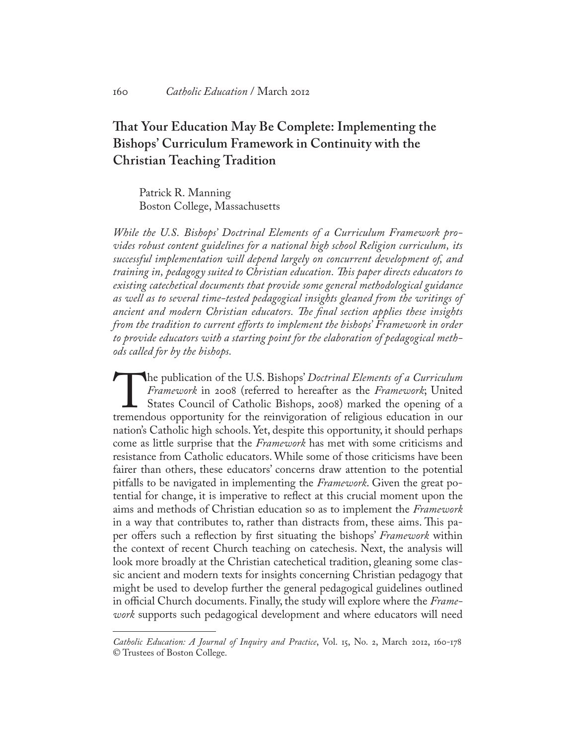# **That Your Education May Be Complete: Implementing the Bishops' Curriculum Framework in Continuity with the Christian Teaching Tradition**

Patrick R. Manning Boston College, Massachusetts

*While the U.S. Bishops' Doctrinal Elements of a Curriculum Framework provides robust content guidelines for a national high school Religion curriculum, its successful implementation will depend largely on concurrent development of, and training in, pedagogy suited to Christian education. This paper directs educators to existing catechetical documents that provide some general methodological guidance as well as to several time-tested pedagogical insights gleaned from the writings of ancient and modern Christian educators. The final section applies these insights from the tradition to current efforts to implement the bishops' Framework in order to provide educators with a starting point for the elaboration of pedagogical methods called for by the bishops.*

The publication of the U.S. Bishops' *Doctrinal Elements of a Curriculum Framework*; in 2008 (referred to hereafter as the *Framework*; United States Council of Catholic Bishops, 2008) marked the opening of a tremendous op *Framework* in 2008 (referred to hereafter as the *Framework*; United States Council of Catholic Bishops, 2008) marked the opening of a nation's Catholic high schools. Yet, despite this opportunity, it should perhaps come as little surprise that the *Framework* has met with some criticisms and resistance from Catholic educators. While some of those criticisms have been fairer than others, these educators' concerns draw attention to the potential pitfalls to be navigated in implementing the *Framework*. Given the great potential for change, it is imperative to reflect at this crucial moment upon the aims and methods of Christian education so as to implement the *Framework* in a way that contributes to, rather than distracts from, these aims. This paper offers such a reflection by first situating the bishops' *Framework* within the context of recent Church teaching on catechesis. Next, the analysis will look more broadly at the Christian catechetical tradition, gleaning some classic ancient and modern texts for insights concerning Christian pedagogy that might be used to develop further the general pedagogical guidelines outlined in official Church documents. Finally, the study will explore where the *Framework* supports such pedagogical development and where educators will need

*Catholic Education: A Journal of Inquiry and Practice*, Vol. 15, No. 2, March 2012, 160-178 © Trustees of Boston College.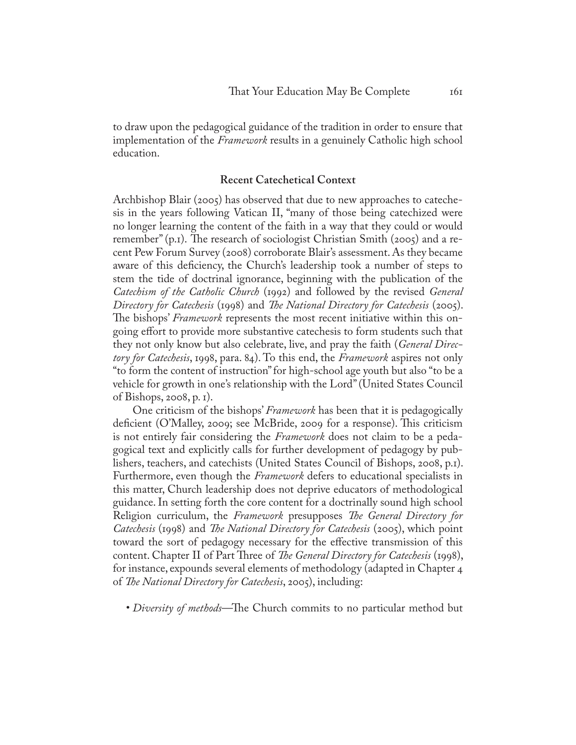to draw upon the pedagogical guidance of the tradition in order to ensure that implementation of the *Framework* results in a genuinely Catholic high school education.

# **Recent Catechetical Context**

Archbishop Blair (2005) has observed that due to new approaches to catechesis in the years following Vatican II, "many of those being catechized were no longer learning the content of the faith in a way that they could or would remember" (p.1). The research of sociologist Christian Smith (2005) and a recent Pew Forum Survey (2008) corroborate Blair's assessment. As they became aware of this deficiency, the Church's leadership took a number of steps to stem the tide of doctrinal ignorance, beginning with the publication of the *Catechism of the Catholic Church* (1992) and followed by the revised *General Directory for Catechesis* (1998) and *The National Directory for Catechesis* (2005). The bishops' *Framework* represents the most recent initiative within this ongoing effort to provide more substantive catechesis to form students such that they not only know but also celebrate, live, and pray the faith (*General Directory for Catechesis*, 1998, para. 84). To this end, the *Framework* aspires not only "to form the content of instruction" for high-school age youth but also "to be a vehicle for growth in one's relationship with the Lord" (United States Council of Bishops, 2008, p. 1).

One criticism of the bishops' *Framework* has been that it is pedagogically deficient (O'Malley, 2009; see McBride, 2009 for a response). This criticism is not entirely fair considering the *Framework* does not claim to be a pedagogical text and explicitly calls for further development of pedagogy by publishers, teachers, and catechists (United States Council of Bishops, 2008, p.1). Furthermore, even though the *Framework* defers to educational specialists in this matter, Church leadership does not deprive educators of methodological guidance. In setting forth the core content for a doctrinally sound high school Religion curriculum, the *Framework* presupposes *The General Directory for Catechesis* (1998) and *The National Directory for Catechesis* (2005), which point toward the sort of pedagogy necessary for the effective transmission of this content. Chapter II of Part Three of *The General Directory for Catechesis* (1998), for instance, expounds several elements of methodology (adapted in Chapter 4 of *The National Directory for Catechesis*, 2005), including:

• *Diversity of methods*—The Church commits to no particular method but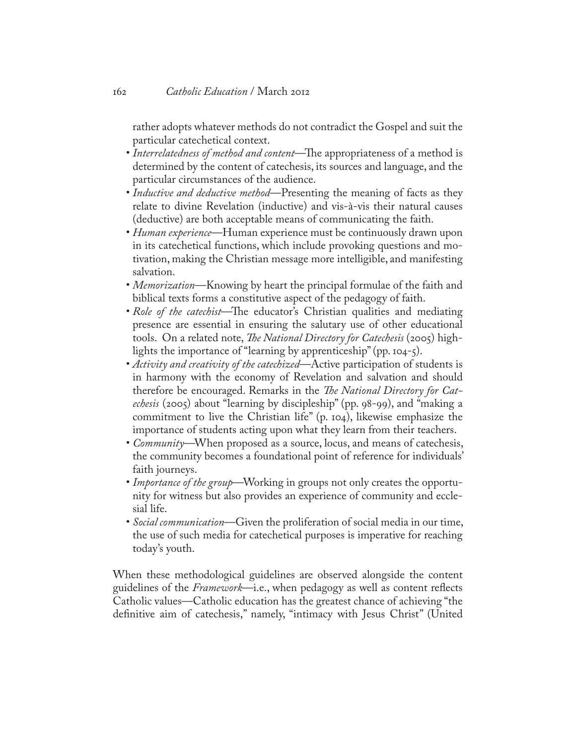rather adopts whatever methods do not contradict the Gospel and suit the particular catechetical context.

- *Interrelatedness of method and content*—The appropriateness of a method is determined by the content of catechesis, its sources and language, and the particular circumstances of the audience.
- *Inductive and deductive method*—Presenting the meaning of facts as they relate to divine Revelation (inductive) and vis-à-vis their natural causes (deductive) are both acceptable means of communicating the faith.
- *Human experience*—Human experience must be continuously drawn upon in its catechetical functions, which include provoking questions and motivation, making the Christian message more intelligible, and manifesting salvation.
- *Memorization*—Knowing by heart the principal formulae of the faith and biblical texts forms a constitutive aspect of the pedagogy of faith.
- *Role of the catechist*—The educator's Christian qualities and mediating presence are essential in ensuring the salutary use of other educational tools. On a related note, *The National Directory for Catechesis* (2005) highlights the importance of "learning by apprenticeship" (pp. 104-5).
- *Activity and creativity of the catechized*—Active participation of students is in harmony with the economy of Revelation and salvation and should therefore be encouraged. Remarks in the *The National Directory for Catechesis* (2005) about "learning by discipleship" (pp. 98-99), and "making a commitment to live the Christian life" (p. 104), likewise emphasize the importance of students acting upon what they learn from their teachers.
- *Community*—When proposed as a source, locus, and means of catechesis, the community becomes a foundational point of reference for individuals' faith journeys.
- *Importance of the group*—Working in groups not only creates the opportunity for witness but also provides an experience of community and ecclesial life.
- *Social communication*—Given the proliferation of social media in our time, the use of such media for catechetical purposes is imperative for reaching today's youth.

When these methodological guidelines are observed alongside the content guidelines of the *Framework*—i.e., when pedagogy as well as content reflects Catholic values—Catholic education has the greatest chance of achieving "the definitive aim of catechesis," namely, "intimacy with Jesus Christ" (United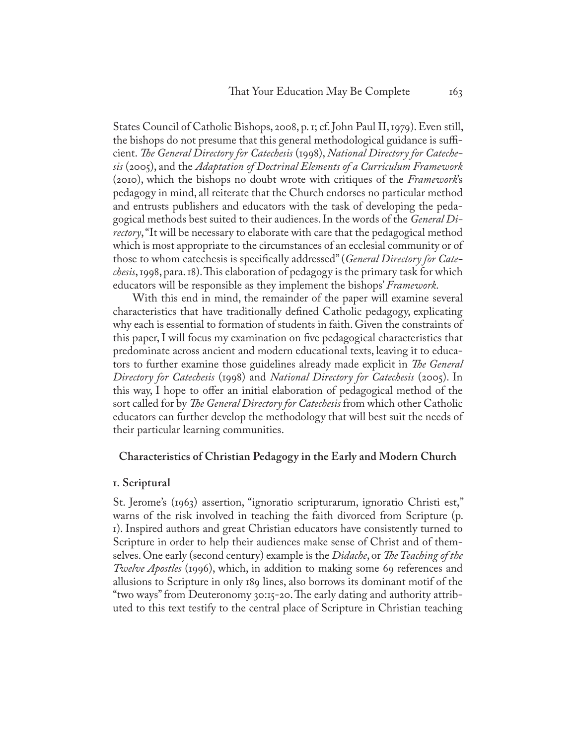States Council of Catholic Bishops, 2008, p. 1; cf. John Paul II, 1979). Even still, the bishops do not presume that this general methodological guidance is sufficient. *The General Directory for Catechesis* (1998), *National Directory for Catechesis* (2005), and the *Adaptation of Doctrinal Elements of a Curriculum Framework* (2010), which the bishops no doubt wrote with critiques of the *Framework*'s pedagogy in mind, all reiterate that the Church endorses no particular method and entrusts publishers and educators with the task of developing the pedagogical methods best suited to their audiences. In the words of the *General Directory*, "It will be necessary to elaborate with care that the pedagogical method which is most appropriate to the circumstances of an ecclesial community or of those to whom catechesis is specifically addressed" (*General Directory for Catechesis*, 1998, para. 18). This elaboration of pedagogy is the primary task for which educators will be responsible as they implement the bishops' *Framework*.

With this end in mind, the remainder of the paper will examine several characteristics that have traditionally defined Catholic pedagogy, explicating why each is essential to formation of students in faith. Given the constraints of this paper, I will focus my examination on five pedagogical characteristics that predominate across ancient and modern educational texts, leaving it to educators to further examine those guidelines already made explicit in *The General Directory for Catechesis* (1998) and *National Directory for Catechesis* (2005). In this way, I hope to offer an initial elaboration of pedagogical method of the sort called for by *The General Directory for Catechesis* from which other Catholic educators can further develop the methodology that will best suit the needs of their particular learning communities.

# **Characteristics of Christian Pedagogy in the Early and Modern Church**

# **1. Scriptural**

St. Jerome's (1963) assertion, "ignoratio scripturarum, ignoratio Christi est," warns of the risk involved in teaching the faith divorced from Scripture (p. 1). Inspired authors and great Christian educators have consistently turned to Scripture in order to help their audiences make sense of Christ and of themselves. One early (second century) example is the *Didache*, or *The Teaching of the Twelve Apostles* (1996), which, in addition to making some 69 references and allusions to Scripture in only 189 lines, also borrows its dominant motif of the "two ways" from Deuteronomy 30:15-20. The early dating and authority attributed to this text testify to the central place of Scripture in Christian teaching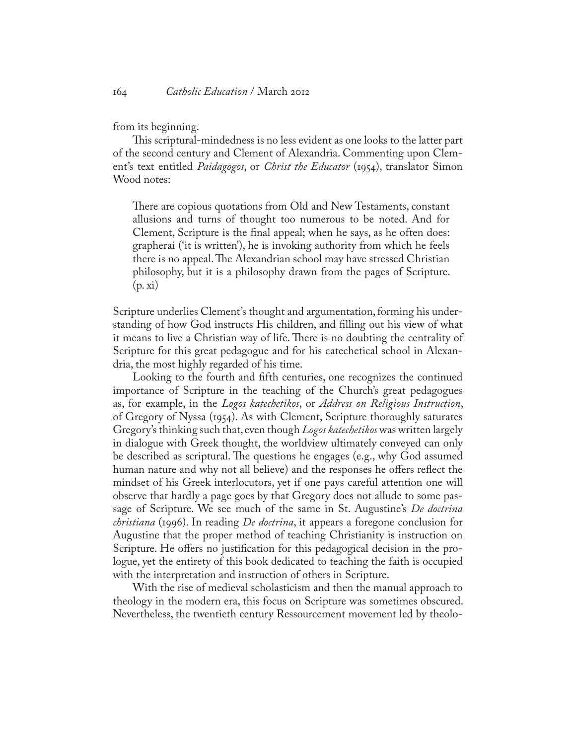from its beginning.

This scriptural-mindedness is no less evident as one looks to the latter part of the second century and Clement of Alexandria. Commenting upon Clement's text entitled *Paidagogos*, or *Christ the Educator* (1954), translator Simon Wood notes:

There are copious quotations from Old and New Testaments, constant allusions and turns of thought too numerous to be noted. And for Clement, Scripture is the final appeal; when he says, as he often does: grapherai ('it is written'), he is invoking authority from which he feels there is no appeal. The Alexandrian school may have stressed Christian philosophy, but it is a philosophy drawn from the pages of Scripture.  $(p, x_i)$ 

Scripture underlies Clement's thought and argumentation, forming his understanding of how God instructs His children, and filling out his view of what it means to live a Christian way of life. There is no doubting the centrality of Scripture for this great pedagogue and for his catechetical school in Alexandria, the most highly regarded of his time.

Looking to the fourth and fifth centuries, one recognizes the continued importance of Scripture in the teaching of the Church's great pedagogues as, for example, in the *Logos katechetikos*, or *Address on Religious Instruction*, of Gregory of Nyssa (1954). As with Clement, Scripture thoroughly saturates Gregory's thinking such that, even though *Logos katechetikos* was written largely in dialogue with Greek thought, the worldview ultimately conveyed can only be described as scriptural. The questions he engages (e.g., why God assumed human nature and why not all believe) and the responses he offers reflect the mindset of his Greek interlocutors, yet if one pays careful attention one will observe that hardly a page goes by that Gregory does not allude to some passage of Scripture. We see much of the same in St. Augustine's *De doctrina christiana* (1996). In reading *De doctrina*, it appears a foregone conclusion for Augustine that the proper method of teaching Christianity is instruction on Scripture. He offers no justification for this pedagogical decision in the prologue, yet the entirety of this book dedicated to teaching the faith is occupied with the interpretation and instruction of others in Scripture.

With the rise of medieval scholasticism and then the manual approach to theology in the modern era, this focus on Scripture was sometimes obscured. Nevertheless, the twentieth century Ressourcement movement led by theolo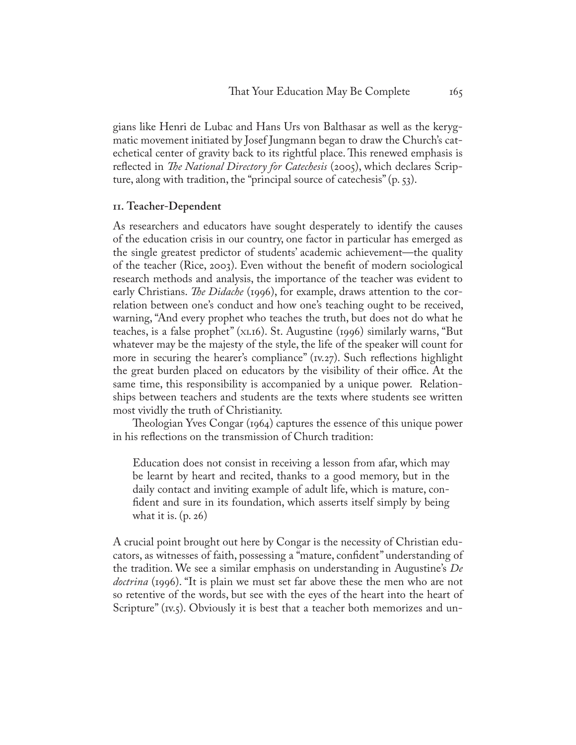gians like [Henri de Lubac](http://en.wikipedia.org/wiki/Henri_de_Lubac) and [Hans Urs von Balthasar](http://en.wikipedia.org/wiki/Hans_Urs_von_Balthasar) as well as the kerygmatic movement initiated by Josef Jungmann began to draw the Church's catechetical center of gravity back to its rightful place. This renewed emphasis is reflected in *The National Directory for Catechesis* (2005), which declares Scripture, along with tradition, the "principal source of catechesis" (p. 53).

# **11. Teacher-Dependent**

As researchers and educators have sought desperately to identify the causes of the education crisis in our country, one factor in particular has emerged as the single greatest predictor of students' academic achievement—the quality of the teacher (Rice, 2003). Even without the benefit of modern sociological research methods and analysis, the importance of the teacher was evident to early Christians. *The Didache* (1996), for example, draws attention to the correlation between one's conduct and how one's teaching ought to be received, warning, "And every prophet who teaches the truth, but does not do what he teaches, is a false prophet" (XI.16). St. Augustine (1996) similarly warns, "But whatever may be the majesty of the style, the life of the speaker will count for more in securing the hearer's compliance" (*v.27*). Such reflections highlight the great burden placed on educators by the visibility of their office. At the same time, this responsibility is accompanied by a unique power. Relationships between teachers and students are the texts where students see written most vividly the truth of Christianity.

Theologian Yves Congar (1964) captures the essence of this unique power in his reflections on the transmission of Church tradition:

Education does not consist in receiving a lesson from afar, which may be learnt by heart and recited, thanks to a good memory, but in the daily contact and inviting example of adult life, which is mature, confident and sure in its foundation, which asserts itself simply by being what it is. (p. 26)

A crucial point brought out here by Congar is the necessity of Christian educators, as witnesses of faith, possessing a "mature, confident" understanding of the tradition. We see a similar emphasis on understanding in Augustine's *De doctrina* (1996). "It is plain we must set far above these the men who are not so retentive of the words, but see with the eyes of the heart into the heart of Scripture" (*Iv.5*). Obviously it is best that a teacher both memorizes and un-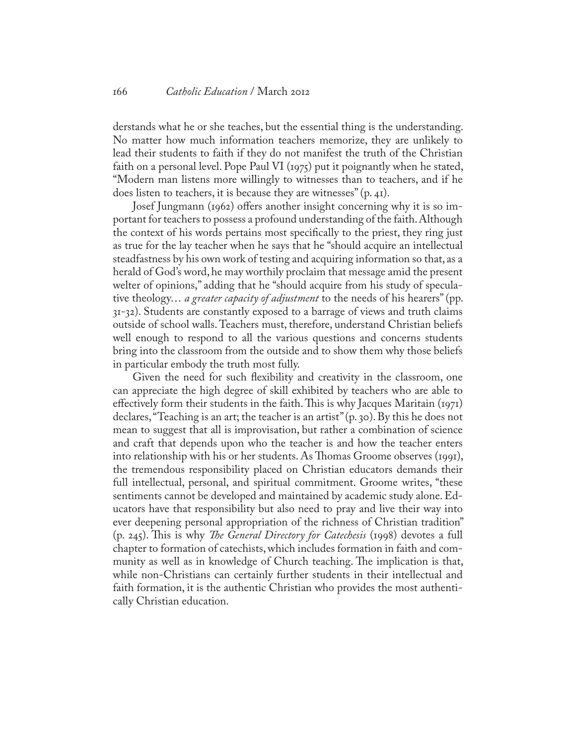#### 166 *Catholic Education* / March 2012

derstands what he or she teaches, but the essential thing is the understanding. No matter how much information teachers memorize, they are unlikely to lead their students to faith if they do not manifest the truth of the Christian faith on a personal level. Pope Paul VI (1975) put it poignantly when he stated, "Modern man listens more willingly to witnesses than to teachers, and if he does listen to teachers, it is because they are witnesses" (p. 41).

Josef Jungmann (1962) offers another insight concerning why it is so important for teachers to possess a profound understanding of the faith. Although the context of his words pertains most specifically to the priest, they ring just as true for the lay teacher when he says that he "should acquire an intellectual steadfastness by his own work of testing and acquiring information so that, as a herald of God's word, he may worthily proclaim that message amid the present welter of opinions," adding that he "should acquire from his study of speculative theology… *a greater capacity of adjustment* to the needs of his hearers" (pp. 31-32). Students are constantly exposed to a barrage of views and truth claims outside of school walls. Teachers must, therefore, understand Christian beliefs well enough to respond to all the various questions and concerns students bring into the classroom from the outside and to show them why those beliefs in particular embody the truth most fully.

Given the need for such flexibility and creativity in the classroom, one can appreciate the high degree of skill exhibited by teachers who are able to effectively form their students in the faith. This is why Jacques Maritain (1971) declares, "Teaching is an art; the teacher is an artist" (p. 30). By this he does not mean to suggest that all is improvisation, but rather a combination of science and craft that depends upon who the teacher is and how the teacher enters into relationship with his or her students. As Thomas Groome observes (1991), the tremendous responsibility placed on Christian educators demands their full intellectual, personal, and spiritual commitment. Groome writes, "these sentiments cannot be developed and maintained by academic study alone. Educators have that responsibility but also need to pray and live their way into ever deepening personal appropriation of the richness of Christian tradition" (p. 245). This is why *The General Directory for Catechesis* (1998) devotes a full chapter to formation of catechists, which includes formation in faith and community as well as in knowledge of Church teaching. The implication is that, while non-Christians can certainly further students in their intellectual and faith formation, it is the authentic Christian who provides the most authentically Christian education.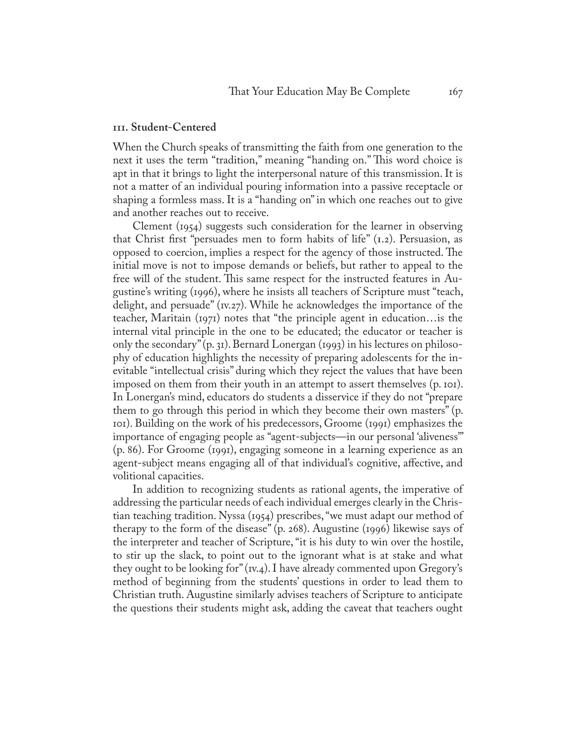#### **111. Student-Centered**

When the Church speaks of transmitting the faith from one generation to the next it uses the term "tradition," meaning "handing on." This word choice is apt in that it brings to light the interpersonal nature of this transmission. It is not a matter of an individual pouring information into a passive receptacle or shaping a formless mass. It is a "handing on" in which one reaches out to give and another reaches out to receive.

Clement (1954) suggests such consideration for the learner in observing that Christ first "persuades men to form habits of life"  $(I.2)$ . Persuasion, as opposed to coercion, implies a respect for the agency of those instructed. The initial move is not to impose demands or beliefs, but rather to appeal to the free will of the student. This same respect for the instructed features in Augustine's writing (1996), where he insists all teachers of Scripture must "teach, delight, and persuade" (1v.27). While he acknowledges the importance of the teacher, Maritain (1971) notes that "the principle agent in education…is the internal vital principle in the one to be educated; the educator or teacher is only the secondary" (p. 31). Bernard Lonergan (1993) in his lectures on philosophy of education highlights the necessity of preparing adolescents for the inevitable "intellectual crisis" during which they reject the values that have been imposed on them from their youth in an attempt to assert themselves (p. 101). In Lonergan's mind, educators do students a disservice if they do not "prepare them to go through this period in which they become their own masters" (p. 101). Building on the work of his predecessors, Groome (1991) emphasizes the importance of engaging people as "agent-subjects—in our personal 'aliveness'" (p. 86). For Groome (1991), engaging someone in a learning experience as an agent-subject means engaging all of that individual's cognitive, affective, and volitional capacities.

In addition to recognizing students as rational agents, the imperative of addressing the particular needs of each individual emerges clearly in the Christian teaching tradition. Nyssa (1954) prescribes, "we must adapt our method of therapy to the form of the disease" (p. 268). Augustine (1996) likewise says of the interpreter and teacher of Scripture, "it is his duty to win over the hostile, to stir up the slack, to point out to the ignorant what is at stake and what they ought to be looking for" (1v.4). I have already commented upon Gregory's method of beginning from the students' questions in order to lead them to Christian truth. Augustine similarly advises teachers of Scripture to anticipate the questions their students might ask, adding the caveat that teachers ought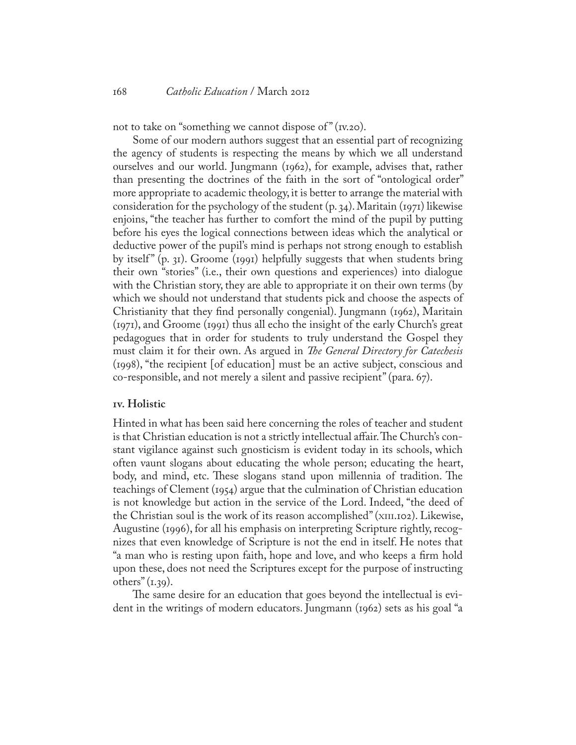not to take on "something we cannot dispose of"  $(v.20)$ .

Some of our modern authors suggest that an essential part of recognizing the agency of students is respecting the means by which we all understand ourselves and our world. Jungmann (1962), for example, advises that, rather than presenting the doctrines of the faith in the sort of "ontological order" more appropriate to academic theology, it is better to arrange the material with consideration for the psychology of the student  $(p, q<sub>4</sub>)$ . Maritain (1971) likewise enjoins, "the teacher has further to comfort the mind of the pupil by putting before his eyes the logical connections between ideas which the analytical or deductive power of the pupil's mind is perhaps not strong enough to establish by itself " (p. 31). Groome (1991) helpfully suggests that when students bring their own "stories" (i.e., their own questions and experiences) into dialogue with the Christian story, they are able to appropriate it on their own terms (by which we should not understand that students pick and choose the aspects of Christianity that they find personally congenial). Jungmann (1962), Maritain (1971), and Groome (1991) thus all echo the insight of the early Church's great pedagogues that in order for students to truly understand the Gospel they must claim it for their own. As argued in *The General Directory for Catechesis* (1998), "the recipient [of education] must be an active subject, conscious and co-responsible, and not merely a silent and passive recipient" (para. 67).

# **1v. Holistic**

Hinted in what has been said here concerning the roles of teacher and student is that Christian education is not a strictly intellectual affair. The Church's constant vigilance against such gnosticism is evident today in its schools, which often vaunt slogans about educating the whole person; educating the heart, body, and mind, etc. These slogans stand upon millennia of tradition. The teachings of Clement (1954) argue that the culmination of Christian education is not knowledge but action in the service of the Lord. Indeed, "the deed of the Christian soul is the work of its reason accomplished" (XIII.102). Likewise, Augustine (1996), for all his emphasis on interpreting Scripture rightly, recognizes that even knowledge of Scripture is not the end in itself. He notes that "a man who is resting upon faith, hope and love, and who keeps a firm hold upon these, does not need the Scriptures except for the purpose of instructing others"  $(i.39)$ .

The same desire for an education that goes beyond the intellectual is evident in the writings of modern educators. Jungmann (1962) sets as his goal "a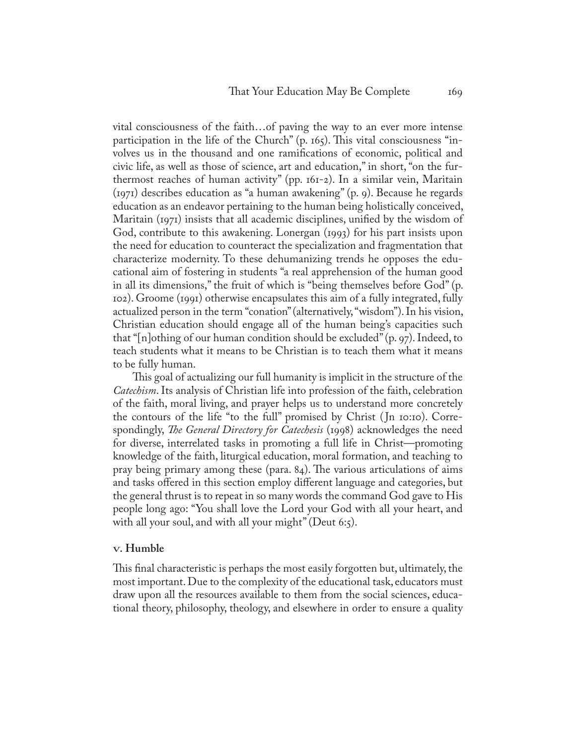vital consciousness of the faith…of paving the way to an ever more intense participation in the life of the Church" (p. 165). This vital consciousness "involves us in the thousand and one ramifications of economic, political and civic life, as well as those of science, art and education," in short, "on the furthermost reaches of human activity" (pp. 161-2). In a similar vein, Maritain (1971) describes education as "a human awakening" (p. 9). Because he regards education as an endeavor pertaining to the human being holistically conceived, Maritain (1971) insists that all academic disciplines, unified by the wisdom of God, contribute to this awakening. Lonergan (1993) for his part insists upon the need for education to counteract the specialization and fragmentation that characterize modernity. To these dehumanizing trends he opposes the educational aim of fostering in students "a real apprehension of the human good in all its dimensions," the fruit of which is "being themselves before God" (p. 102). Groome (1991) otherwise encapsulates this aim of a fully integrated, fully actualized person in the term "conation" (alternatively, "wisdom"). In his vision, Christian education should engage all of the human being's capacities such that "[n]othing of our human condition should be excluded" (p. 97). Indeed, to teach students what it means to be Christian is to teach them what it means to be fully human.

This goal of actualizing our full humanity is implicit in the structure of the *Catechism*. Its analysis of Christian life into profession of the faith, celebration of the faith, moral living, and prayer helps us to understand more concretely the contours of the life "to the full" promised by Christ ( Jn 10:10). Correspondingly, *The General Directory for Catechesis* (1998) acknowledges the need for diverse, interrelated tasks in promoting a full life in Christ—promoting knowledge of the faith, liturgical education, moral formation, and teaching to pray being primary among these (para. 84). The various articulations of aims and tasks offered in this section employ different language and categories, but the general thrust is to repeat in so many words the command God gave to His people long ago: "You shall love the Lord your God with all your heart, and with all your soul, and with all your might" (Deut 6:5).

# **V. Humble**

This final characteristic is perhaps the most easily forgotten but, ultimately, the most important. Due to the complexity of the educational task, educators must draw upon all the resources available to them from the social sciences, educational theory, philosophy, theology, and elsewhere in order to ensure a quality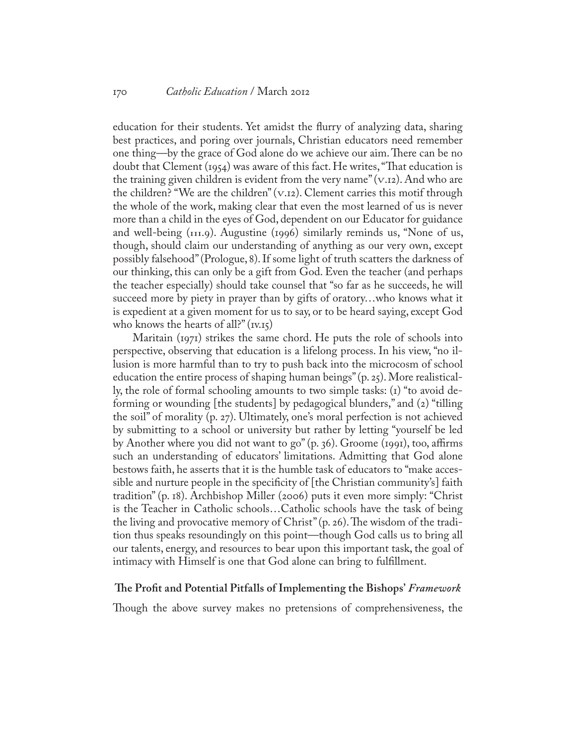education for their students. Yet amidst the flurry of analyzing data, sharing best practices, and poring over journals, Christian educators need remember one thing—by the grace of God alone do we achieve our aim. There can be no doubt that Clement (1954) was aware of this fact. He writes, "That education is the training given children is evident from the very name"  $(v,i)$ . And who are the children? "We are the children"  $(v \cdot 12)$ . Clement carries this motif through the whole of the work, making clear that even the most learned of us is never more than a child in the eyes of God, dependent on our Educator for guidance and well-being  $(TII.9)$ . Augustine  $(TIII.96)$  similarly reminds us, "None of us, though, should claim our understanding of anything as our very own, except possibly falsehood" (Prologue, 8). If some light of truth scatters the darkness of our thinking, this can only be a gift from God. Even the teacher (and perhaps the teacher especially) should take counsel that "so far as he succeeds, he will succeed more by piety in prayer than by gifts of oratory…who knows what it is expedient at a given moment for us to say, or to be heard saying, except God who knows the hearts of all?"  $(v \cdot 15)$ 

Maritain (1971) strikes the same chord. He puts the role of schools into perspective, observing that education is a lifelong process. In his view, "no illusion is more harmful than to try to push back into the microcosm of school education the entire process of shaping human beings" (p. 25). More realistically, the role of formal schooling amounts to two simple tasks: (1) "to avoid deforming or wounding [the students] by pedagogical blunders," and (2) "tilling the soil" of morality (p. 27). Ultimately, one's moral perfection is not achieved by submitting to a school or university but rather by letting "yourself be led by Another where you did not want to go" (p. 36). Groome (1991), too, affirms such an understanding of educators' limitations. Admitting that God alone bestows faith, he asserts that it is the humble task of educators to "make accessible and nurture people in the specificity of [the Christian community's] faith tradition" (p. 18). Archbishop Miller (2006) puts it even more simply: "Christ is the Teacher in Catholic schools…Catholic schools have the task of being the living and provocative memory of Christ" (p. 26). The wisdom of the tradition thus speaks resoundingly on this point—though God calls us to bring all our talents, energy, and resources to bear upon this important task, the goal of intimacy with Himself is one that God alone can bring to fulfillment.

#### **The Profit and Potential Pitfalls of Implementing the Bishops'** *Framework*

Though the above survey makes no pretensions of comprehensiveness, the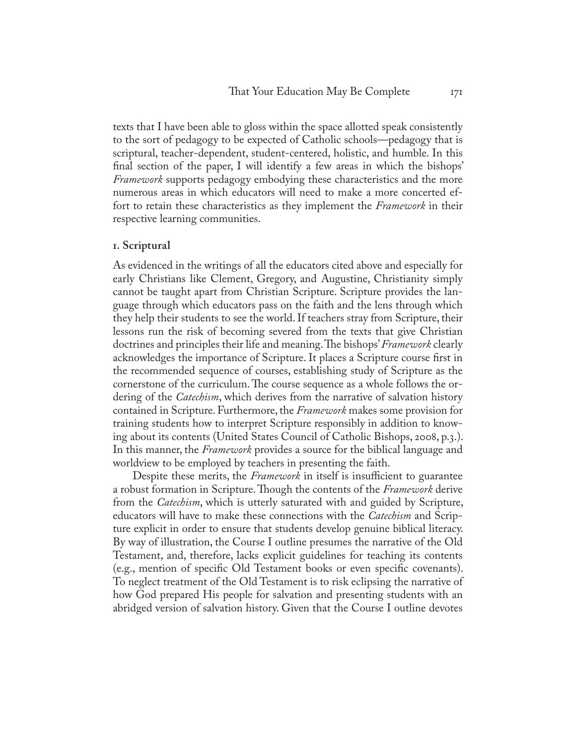texts that I have been able to gloss within the space allotted speak consistently to the sort of pedagogy to be expected of Catholic schools—pedagogy that is scriptural, teacher-dependent, student-centered, holistic, and humble. In this final section of the paper, I will identify a few areas in which the bishops' *Framework* supports pedagogy embodying these characteristics and the more numerous areas in which educators will need to make a more concerted effort to retain these characteristics as they implement the *Framework* in their respective learning communities.

#### **1. Scriptural**

As evidenced in the writings of all the educators cited above and especially for early Christians like Clement, Gregory, and Augustine, Christianity simply cannot be taught apart from Christian Scripture. Scripture provides the language through which educators pass on the faith and the lens through which they help their students to see the world. If teachers stray from Scripture, their lessons run the risk of becoming severed from the texts that give Christian doctrines and principles their life and meaning. The bishops' *Framework* clearly acknowledges the importance of Scripture. It places a Scripture course first in the recommended sequence of courses, establishing study of Scripture as the cornerstone of the curriculum. The course sequence as a whole follows the ordering of the *Catechism*, which derives from the narrative of salvation history contained in Scripture. Furthermore, the *Framework* makes some provision for training students how to interpret Scripture responsibly in addition to knowing about its contents (United States Council of Catholic Bishops, 2008, p.3.). In this manner, the *Framework* provides a source for the biblical language and worldview to be employed by teachers in presenting the faith.

Despite these merits, the *Framework* in itself is insufficient to guarantee a robust formation in Scripture. Though the contents of the *Framework* derive from the *Catechism*, which is utterly saturated with and guided by Scripture, educators will have to make these connections with the *Catechism* and Scripture explicit in order to ensure that students develop genuine biblical literacy. By way of illustration, the Course I outline presumes the narrative of the Old Testament, and, therefore, lacks explicit guidelines for teaching its contents (e.g., mention of specific Old Testament books or even specific covenants). To neglect treatment of the Old Testament is to risk eclipsing the narrative of how God prepared His people for salvation and presenting students with an abridged version of salvation history. Given that the Course I outline devotes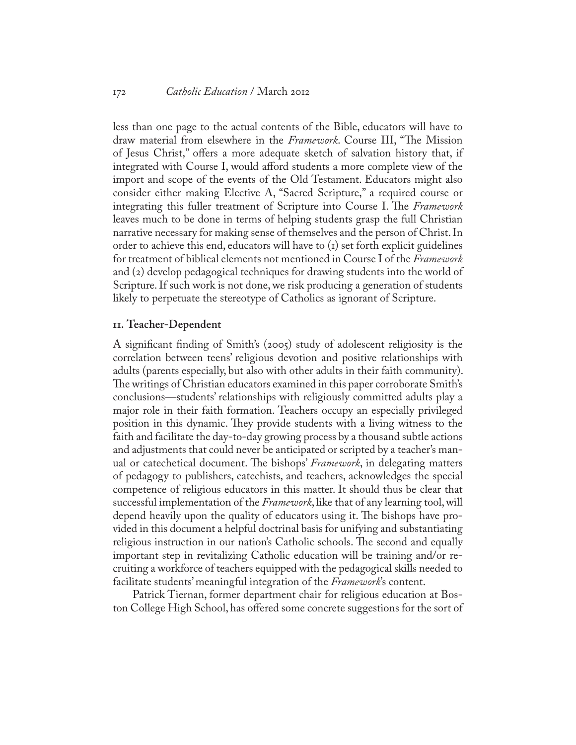#### 172 *Catholic Education* / March 2012

less than one page to the actual contents of the Bible, educators will have to draw material from elsewhere in the *Framework*. Course III, "The Mission of Jesus Christ," offers a more adequate sketch of salvation history that, if integrated with Course I, would afford students a more complete view of the import and scope of the events of the Old Testament. Educators might also consider either making Elective A, "Sacred Scripture," a required course or integrating this fuller treatment of Scripture into Course I. The *Framework* leaves much to be done in terms of helping students grasp the full Christian narrative necessary for making sense of themselves and the person of Christ. In order to achieve this end, educators will have to  $(i)$  set forth explicit guidelines for treatment of biblical elements not mentioned in Course I of the *Framework* and (2) develop pedagogical techniques for drawing students into the world of Scripture. If such work is not done, we risk producing a generation of students likely to perpetuate the stereotype of Catholics as ignorant of Scripture.

### **11. Teacher-Dependent**

A significant finding of Smith's (2005) study of adolescent religiosity is the correlation between teens' religious devotion and positive relationships with adults (parents especially, but also with other adults in their faith community). The writings of Christian educators examined in this paper corroborate Smith's conclusions—students' relationships with religiously committed adults play a major role in their faith formation. Teachers occupy an especially privileged position in this dynamic. They provide students with a living witness to the faith and facilitate the day-to-day growing process by a thousand subtle actions and adjustments that could never be anticipated or scripted by a teacher's manual or catechetical document. The bishops' *Framework*, in delegating matters of pedagogy to publishers, catechists, and teachers, acknowledges the special competence of religious educators in this matter. It should thus be clear that successful implementation of the *Framework*, like that of any learning tool, will depend heavily upon the quality of educators using it. The bishops have provided in this document a helpful doctrinal basis for unifying and substantiating religious instruction in our nation's Catholic schools. The second and equally important step in revitalizing Catholic education will be training and/or recruiting a workforce of teachers equipped with the pedagogical skills needed to facilitate students' meaningful integration of the *Framework*'s content.

Patrick Tiernan, former department chair for religious education at Boston College High School, has offered some concrete suggestions for the sort of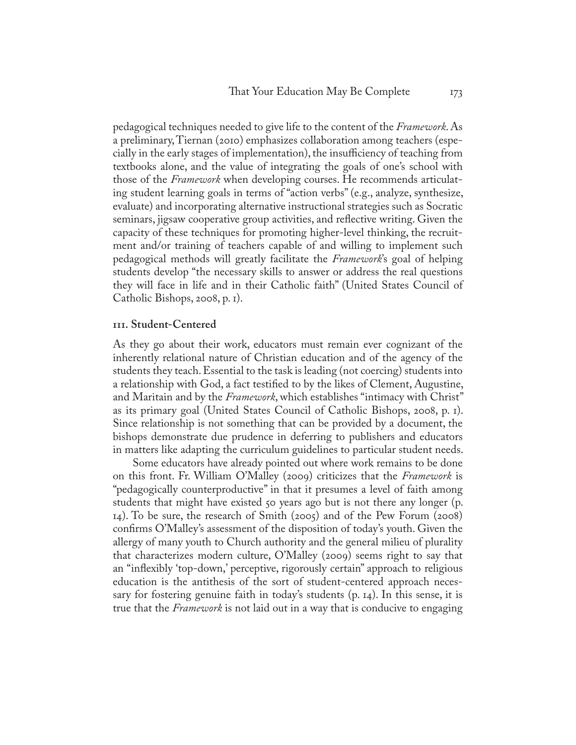pedagogical techniques needed to give life to the content of the *Framework*. As a preliminary, Tiernan (2010) emphasizes collaboration among teachers (especially in the early stages of implementation), the insufficiency of teaching from textbooks alone, and the value of integrating the goals of one's school with those of the *Framework* when developing courses. He recommends articulating student learning goals in terms of "action verbs" (e.g., analyze, synthesize, evaluate) and incorporating alternative instructional strategies such as Socratic seminars, jigsaw cooperative group activities, and reflective writing. Given the capacity of these techniques for promoting higher-level thinking, the recruitment and/or training of teachers capable of and willing to implement such pedagogical methods will greatly facilitate the *Framework*'s goal of helping students develop "the necessary skills to answer or address the real questions they will face in life and in their Catholic faith" (United States Council of Catholic Bishops, 2008, p. 1).

#### **111. Student-Centered**

As they go about their work, educators must remain ever cognizant of the inherently relational nature of Christian education and of the agency of the students they teach. Essential to the task is leading (not coercing) students into a relationship with God, a fact testified to by the likes of Clement, Augustine, and Maritain and by the *Framework*, which establishes "intimacy with Christ" as its primary goal (United States Council of Catholic Bishops, 2008, p. 1). Since relationship is not something that can be provided by a document, the bishops demonstrate due prudence in deferring to publishers and educators in matters like adapting the curriculum guidelines to particular student needs.

Some educators have already pointed out where work remains to be done on this front. Fr. William O'Malley (2009) criticizes that the *Framework* is "pedagogically counterproductive" in that it presumes a level of faith among students that might have existed 50 years ago but is not there any longer (p. 14). To be sure, the research of Smith (2005) and of the Pew Forum (2008) confirms O'Malley's assessment of the disposition of today's youth. Given the allergy of many youth to Church authority and the general milieu of plurality that characterizes modern culture, O'Malley (2009) seems right to say that an "inflexibly 'top-down,' perceptive, rigorously certain" approach to religious education is the antithesis of the sort of student-centered approach necessary for fostering genuine faith in today's students (p. 14). In this sense, it is true that the *Framework* is not laid out in a way that is conducive to engaging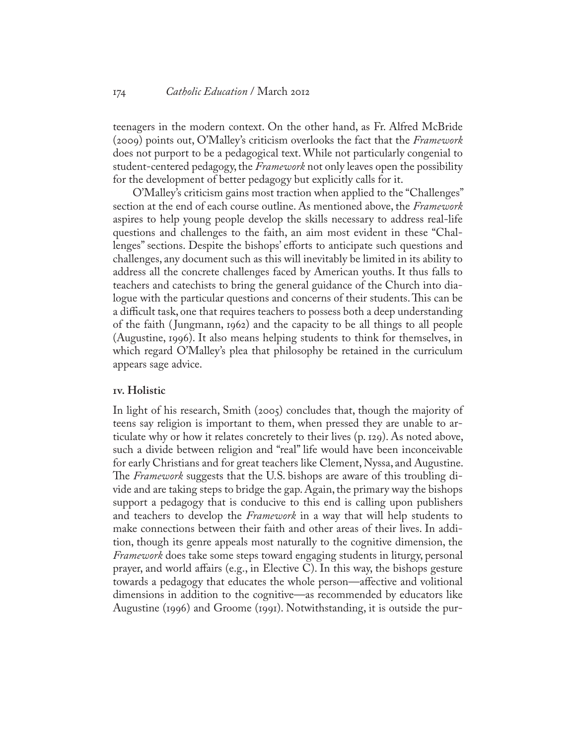teenagers in the modern context. On the other hand, as Fr. Alfred McBride (2009) points out, O'Malley's criticism overlooks the fact that the *Framework* does not purport to be a pedagogical text. While not particularly congenial to student-centered pedagogy, the *Framework* not only leaves open the possibility for the development of better pedagogy but explicitly calls for it.

O'Malley's criticism gains most traction when applied to the "Challenges" section at the end of each course outline. As mentioned above, the *Framework* aspires to help young people develop the skills necessary to address real-life questions and challenges to the faith, an aim most evident in these "Challenges" sections. Despite the bishops' efforts to anticipate such questions and challenges, any document such as this will inevitably be limited in its ability to address all the concrete challenges faced by American youths. It thus falls to teachers and catechists to bring the general guidance of the Church into dialogue with the particular questions and concerns of their students. This can be a difficult task, one that requires teachers to possess both a deep understanding of the faith ( Jungmann, 1962) and the capacity to be all things to all people (Augustine, 1996). It also means helping students to think for themselves, in which regard O'Malley's plea that philosophy be retained in the curriculum appears sage advice.

# **1v. Holistic**

In light of his research, Smith (2005) concludes that, though the majority of teens say religion is important to them, when pressed they are unable to articulate why or how it relates concretely to their lives (p. 129). As noted above, such a divide between religion and "real" life would have been inconceivable for early Christians and for great teachers like Clement, Nyssa, and Augustine. The *Framework* suggests that the U.S. bishops are aware of this troubling divide and are taking steps to bridge the gap. Again, the primary way the bishops support a pedagogy that is conducive to this end is calling upon publishers and teachers to develop the *Framework* in a way that will help students to make connections between their faith and other areas of their lives. In addition, though its genre appeals most naturally to the cognitive dimension, the *Framework* does take some steps toward engaging students in liturgy, personal prayer, and world affairs (e.g., in Elective C). In this way, the bishops gesture towards a pedagogy that educates the whole person—affective and volitional dimensions in addition to the cognitive—as recommended by educators like Augustine (1996) and Groome (1991). Notwithstanding, it is outside the pur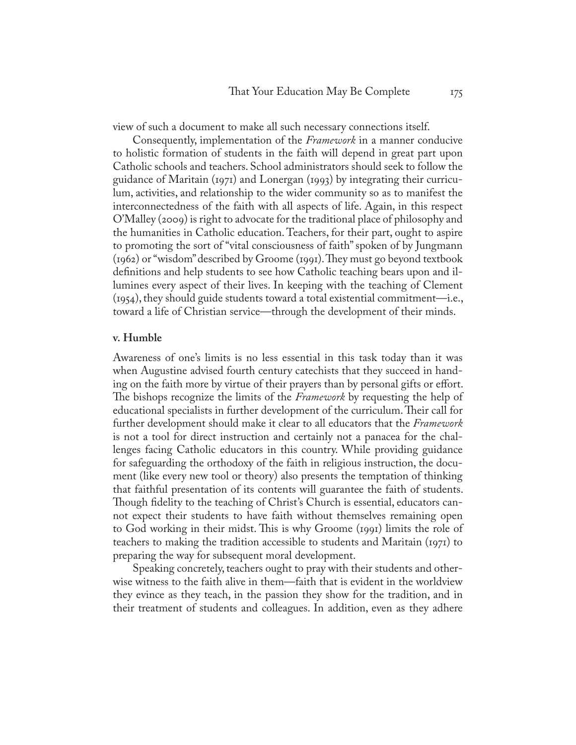view of such a document to make all such necessary connections itself.

Consequently, implementation of the *Framework* in a manner conducive to holistic formation of students in the faith will depend in great part upon Catholic schools and teachers. School administrators should seek to follow the guidance of Maritain (1971) and Lonergan (1993) by integrating their curriculum, activities, and relationship to the wider community so as to manifest the interconnectedness of the faith with all aspects of life. Again, in this respect O'Malley (2009) is right to advocate for the traditional place of philosophy and the humanities in Catholic education. Teachers, for their part, ought to aspire to promoting the sort of "vital consciousness of faith" spoken of by Jungmann (1962) or "wisdom" described by Groome (1991). They must go beyond textbook definitions and help students to see how Catholic teaching bears upon and illumines every aspect of their lives. In keeping with the teaching of Clement (1954), they should guide students toward a total existential commitment—i.e., toward a life of Christian service—through the development of their minds.

#### **v. Humble**

Awareness of one's limits is no less essential in this task today than it was when Augustine advised fourth century catechists that they succeed in handing on the faith more by virtue of their prayers than by personal gifts or effort. The bishops recognize the limits of the *Framework* by requesting the help of educational specialists in further development of the curriculum. Their call for further development should make it clear to all educators that the *Framework* is not a tool for direct instruction and certainly not a panacea for the challenges facing Catholic educators in this country. While providing guidance for safeguarding the orthodoxy of the faith in religious instruction, the document (like every new tool or theory) also presents the temptation of thinking that faithful presentation of its contents will guarantee the faith of students. Though fidelity to the teaching of Christ's Church is essential, educators cannot expect their students to have faith without themselves remaining open to God working in their midst. This is why Groome (1991) limits the role of teachers to making the tradition accessible to students and Maritain (1971) to preparing the way for subsequent moral development.

Speaking concretely, teachers ought to pray with their students and otherwise witness to the faith alive in them—faith that is evident in the worldview they evince as they teach, in the passion they show for the tradition, and in their treatment of students and colleagues. In addition, even as they adhere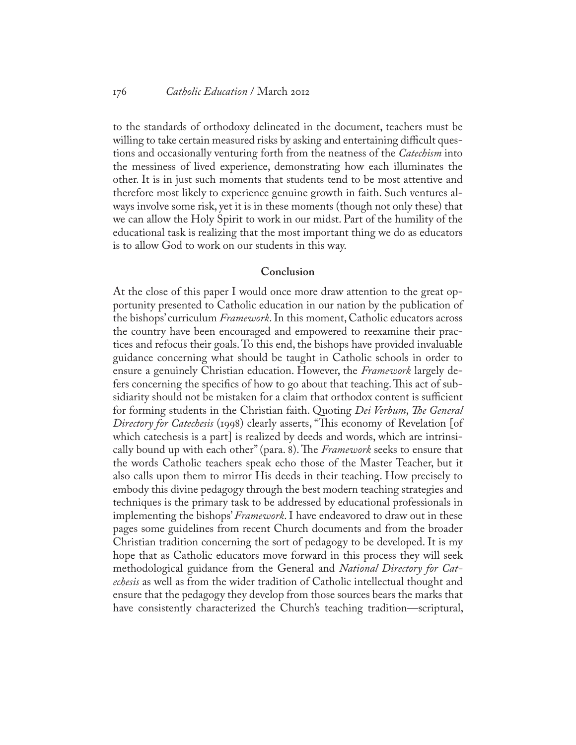#### 176 *Catholic Education* / March 2012

to the standards of orthodoxy delineated in the document, teachers must be willing to take certain measured risks by asking and entertaining difficult questions and occasionally venturing forth from the neatness of the *Catechism* into the messiness of lived experience, demonstrating how each illuminates the other. It is in just such moments that students tend to be most attentive and therefore most likely to experience genuine growth in faith. Such ventures always involve some risk, yet it is in these moments (though not only these) that we can allow the Holy Spirit to work in our midst. Part of the humility of the educational task is realizing that the most important thing we do as educators is to allow God to work on our students in this way.

### **Conclusion**

At the close of this paper I would once more draw attention to the great opportunity presented to Catholic education in our nation by the publication of the bishops' curriculum *Framework*. In this moment, Catholic educators across the country have been encouraged and empowered to reexamine their practices and refocus their goals. To this end, the bishops have provided invaluable guidance concerning what should be taught in Catholic schools in order to ensure a genuinely Christian education. However, the *Framework* largely defers concerning the specifics of how to go about that teaching. This act of subsidiarity should not be mistaken for a claim that orthodox content is sufficient for forming students in the Christian faith. Quoting *Dei Verbum*, *The General Directory for Catechesis* (1998) clearly asserts, "This economy of Revelation [of which cate chesis is a part] is realized by deeds and words, which are intrinsically bound up with each other" (para. 8). The *Framework* seeks to ensure that the words Catholic teachers speak echo those of the Master Teacher, but it also calls upon them to mirror His deeds in their teaching. How precisely to embody this divine pedagogy through the best modern teaching strategies and techniques is the primary task to be addressed by educational professionals in implementing the bishops' *Framework*. I have endeavored to draw out in these pages some guidelines from recent Church documents and from the broader Christian tradition concerning the sort of pedagogy to be developed. It is my hope that as Catholic educators move forward in this process they will seek methodological guidance from the General and *National Directory for Catechesis* as well as from the wider tradition of Catholic intellectual thought and ensure that the pedagogy they develop from those sources bears the marks that have consistently characterized the Church's teaching tradition—scriptural,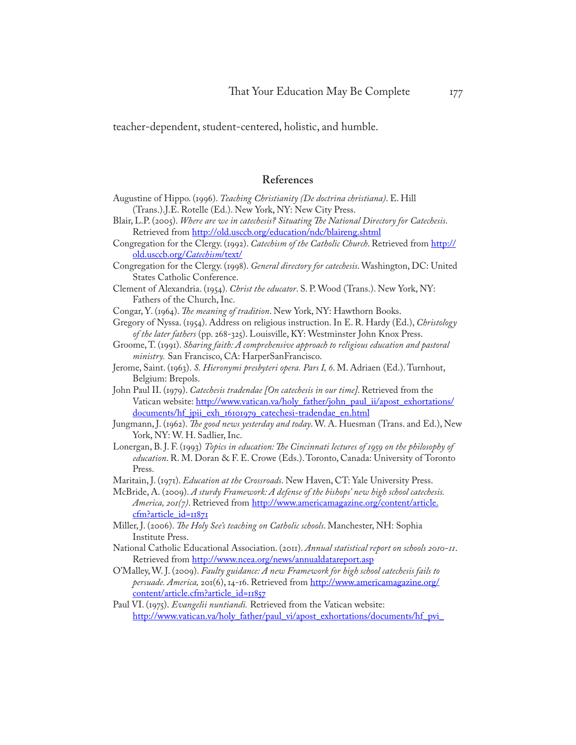teacher-dependent, student-centered, holistic, and humble.

#### **References**

- Augustine of Hippo. (1996). *Teaching Christianity (De doctrina christiana)*. E. Hill (Trans.).J.E. Rotelle (Ed.). New York, NY: New City Press.
- Blair, L.P. (2005). *Where are we in catechesis? Situating The National Directory for Catechesis*. Retrieved from<http://old.usccb.org/education/ndc/blaireng.shtml>
- Congregation for the Clergy. (1992). *Catechism of the Catholic Church*. Retrieved from [http://](http://old.usccb.org/catechism/text/) [old.usccb.org/](http://old.usccb.org/catechism/text/)*Catechism*/text/
- Congregation for the Clergy. (1998). *General directory for catechesis*. Washington, DC: United States Catholic Conference.
- Clement of Alexandria. (1954). *Christ the educator*. S. P. Wood (Trans.). New York, NY: Fathers of the Church, Inc.
- Congar, Y. (1964). *The meaning of tradition*. New York, NY: Hawthorn Books.
- Gregory of Nyssa. (1954). Address on religious instruction. In E. R. Hardy (Ed.), *Christology of the later fathers* (pp. 268-325). Louisville, KY: Westminster John Knox Press.
- Groome, T. (1991). *Sharing faith: A comprehensive approach to religious education and pastoral ministry.* San Francisco, CA: HarperSanFrancisco.
- Jerome, Saint. (1963). *S. Hieronymi presbyteri opera. Pars I, 6*. M. Adriaen (Ed.). Turnhout, Belgium: Brepols.
- John Paul II. (1979). *Catechesis tradendae [On catechesis in our time]*. Retrieved from the Vatican website: [http://www.vatican.va/holy\\_father/john\\_paul\\_ii/apost\\_exhortations/](http://www.vatican.va/holy_father/john_paul_ii/apost_exhortations/documents/hf_jpii_exh_16101979_catechesi-tradendae_en.html) [documents/hf\\_jpii\\_exh\\_16101979\\_catechesi-tradendae\\_en.html](http://www.vatican.va/holy_father/john_paul_ii/apost_exhortations/documents/hf_jpii_exh_16101979_catechesi-tradendae_en.html)
- Jungmann, J. (1962). *The good news yesterday and today*. W. A. Huesman (Trans. and Ed.), New York, NY: W. H. Sadlier, Inc.
- Lonergan, B. J. F. (1993) *Topics in education: The Cincinnati lectures of 1959 on the philosophy of education*. R. M. Doran & F. E. Crowe (Eds.). Toronto, Canada: University of Toronto Press.
- Maritain, J. (1971). *Education at the Crossroads*. New Haven, CT: Yale University Press.
- McBride, A. (2009). *A sturdy Framework: A defense of the bishops' new high school catechesis. America, 201(7)*. Retrieved from [http://www.americamagazine.org/content/article.](http://www.americamagazine.org/content/article.cfm?article_id=11871) [cfm?article\\_id=11871](http://www.americamagazine.org/content/article.cfm?article_id=11871)
- Miller, J. (2006). *The Holy See's teaching on Catholic schools*. Manchester, NH: Sophia Institute Press.
- National Catholic Educational Association. (2011). *Annual statistical report on schools 2010-11*. Retrieved from<http://www.ncea.org/news/annualdatareport.asp>
- O'Malley, W. J. (2009). *Faulty guidance: A new Framework for high school catechesis fails to persuade. America,* 201(6), 14-16. Retrieved from [http://www.americamagazine.org/](http://www.americamagazine.org/content/article.cfm?article_id=11857) [content/article.cfm?article\\_id=11857](http://www.americamagazine.org/content/article.cfm?article_id=11857)
- Paul VI. (1975). *Evangelii nuntiandi.* Retrieved from the Vatican website: [http://www.vatican.va/holy\\_father/paul\\_vi/apost\\_exhortations/documents/hf\\_pvi\\_](http://www.vatican.va/holy_father/paul_vi/apost_exhortations/documents/hf_pvi_exh_19751208_evangelii-nuntiandi_en.html)